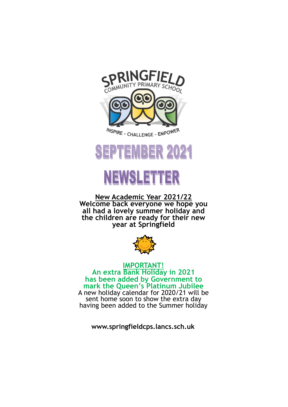

## SEPTEMBER 2021

# **NEWSLETTER**

**New Academic Year 2021/22 Welcome back everyone we hope you all had a lovely summer holiday and the children are ready for their new year at Springfield**



**IMPORTANT! An extra Bank Holiday in 2021 has been added by Government to mark the Queen's Platinum Jubilee** A new holiday calendar for 2020/21 will be sent home soon to show the extra day having been added to the Summer holiday

**www.springfieldcps.lancs.sch.uk**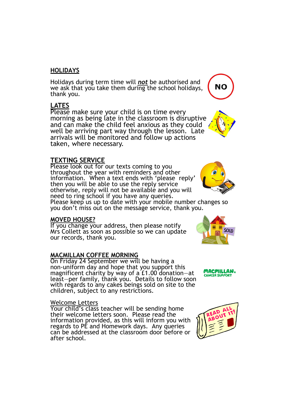#### **HOLIDAYS**

Holidays during term time will *not* be authorised and we ask that you take them during the school holidays, thank you.

#### **LATES**

Please make sure your child is on time every morning as being late in the classroom is disruptive and can make the child feel anxious as they could well be arriving part way through the lesson. Late arrivals will be monitored and follow up actions taken, where necessary.

## **TEXTING SERVICE**

Please look out for our texts coming to you throughout the year with reminders and other information. When a text ends with 'please reply' then you will be able to use the reply service otherwise, reply will not be available and you will need to ring school if you have any queries.

Please keep us up to date with your mobile number changes so you don't miss out on the message service, thank you.

#### **MOVED HOUSE?**

If you change your address, then please notify Mrs Collett as soon as possible so we can update our records, thank you.

#### **MACMILLAN COFFEE MORNING**

On Friday 24 September we will be having a non-uniform day and hope that you support this magnificent charity by way of a £1.00 donation—at least—per family, thank you. Details to follow soon with regards to any cakes beings sold on site to the children, subject to any restrictions.

#### Welcome Letters

Your child's class teacher will be sending home their welcome letters soon. Please read the information provided, as this will inform you with regards to PE and Homework days. Any queries can be addressed at the classroom door before or after school.









**NO** 



SOLD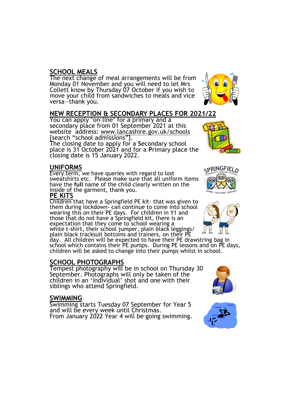## **SCHOOL MEALS**

The next change of meal arrangements will be from Monday 01 November and you will need to let Mrs Collett know by Thursday 07 October if you wish to move your child from sandwiches to meals and vice versa—thank you.

## **NEW RECEPTION & SECONDARY PLACES FOR 2021/22**

You can apply 'on-line' for a primary and a secondary place from 01 September 2021 at this website address: www.lancashire.gov.uk/schools [search "school admissions"].

The closing date to apply for a **S**econdary school place is 31 October 2021 and for a **P**rimary place the closing date is 15 January 2022.

#### **UNIFORMS**

Every term, we have queries with regard to lost sweatshirts etc. Please make sure that all uniform items have the **full** name of the child clearly written on the inside of the garment, thank you.

#### **PE KITS**

Children that have a Springfield PE kit- that was given to them during lockdown- can continue to come into school wearing this on their PE days. For children in Y1 and those that do not have a Springfield kit, there is an expectation that they come to school wearing a white t-shirt, their school jumper, plain black leggings/ plain black tracksuit bottoms and trainers, on their PE

day. All children will be expected to have their PE drawstring bag in school which contains their PE pumps. During PE lessons and on PE days, children will be asked to change into their pumps whilst in school.

## **SCHOOL PHOTOGRAPHS**

Tempest photography will be in school on Thursday 30 September. Photographs will only be taken of the children in an 'individual' shot and one with their siblings who attend Springfield.

## **SWIMMING**

Swimming starts Tuesday 07 September for Year 5 and will be every week until Christmas. From January 2022 Year 4 will be going swimming.